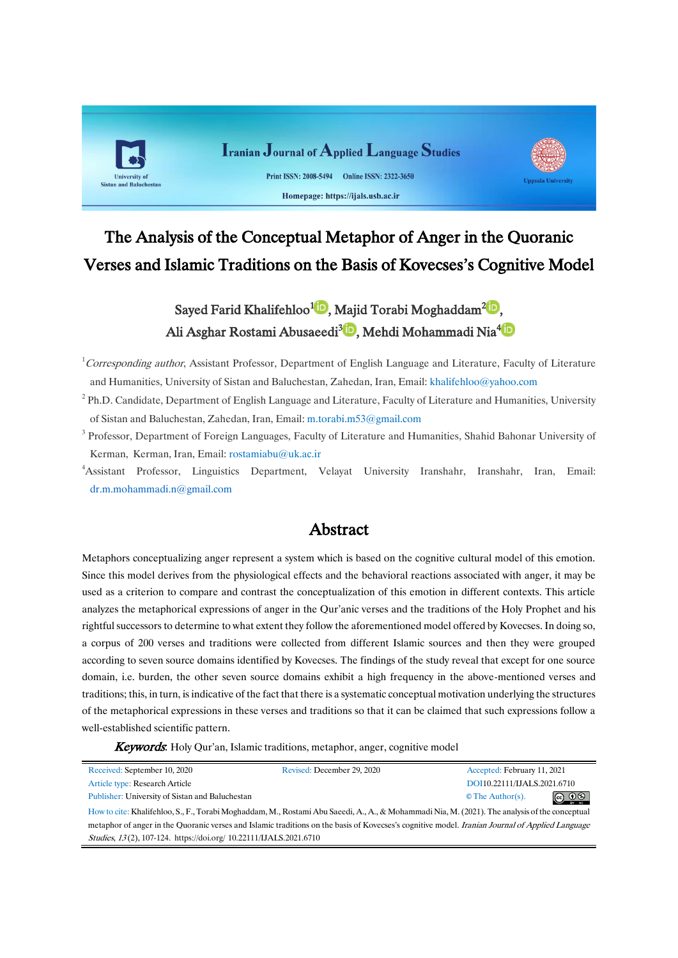

# The Analysis of the Conceptual Metaphor of Anger in the Quoranic Verses and Islamic Traditions on the Basis of Kovecses's Cognitive Model

# Sayed Farid Khalifehloo<sup>1</sup> D[,](https://orcid.org/0000-0003-0352-1998) Majid Torabi Moghaddam<sup>2</sup> D, Ali Asghar Rostami Abusaeedi<sup>3</sup><sup>D</sup>[,](https://orcid.org/0000-0002-5565-2247)Mehdi Mohammadi Nia<sup>4</sup>D

<sup>1</sup>Corresponding author, Assistant Professor, Department of English Language and Literature, Faculty of Literature and Humanities, University of Sistan and Baluchestan, Zahedan, Iran, Email: [khalifehloo@yahoo.com](mailto:khalifehloo@yahoo.com)

- $2$  Ph.D. Candidate, Department of English Language and Literature, Faculty of Literature and Humanities, University of Sistan and Baluchestan, Zahedan, Iran, Email: [m.torabi.m53@gmail.com](mailto:m.torabi.m53@gmail.com)
- <sup>3</sup> Professor, Department of Foreign Languages, Faculty of Literature and Humanities, Shahid Bahonar University of Kerman, Kerman, Iran, Email: [rostamiabu@uk.ac.ir](mailto:rostamiabu@uk.ac.ir)
- <sup>4</sup>Assistant Professor, Linguistics Department, Velayat University Iranshahr, Iranshahr, Iran, Email: [dr.m.mohammadi.n@gmail.com](mailto:dr.m.mohammadi.n@gmail.com)

## Abstract

Metaphors conceptualizing anger represent a system which is based on the cognitive cultural model of this emotion. Since this model derives from the physiological effects and the behavioral reactions associated with anger, it may be used as a criterion to compare and contrast the conceptualization of this emotion in different contexts. This article analyzes the metaphorical expressions of anger in the Qur'anic verses and the traditions of the Holy Prophet and his rightful successors to determine to what extent they follow the aforementioned model offered by Kovecses. In doing so, a corpus of 200 verses and traditions were collected from different Islamic sources and then they were grouped according to seven source domains identified by Kovecses. The findings of the study reveal that except for one source domain, i.e. burden, the other seven source domains exhibit a high frequency in the above-mentioned verses and traditions; this, in turn, is indicative of the fact that there is a systematic conceptual motivation underlying the structures of the metaphorical expressions in these verses and traditions so that it can be claimed that such expressions follow a well-established scientific pattern.

**Keywords:** Holy Our'an, Islamic traditions, metaphor, anger, cognitive model

| Received: September 10, 2020                                                                                                                           | Revised: December 29, 2020 | Accepted: February 11, 2021 |                               |
|--------------------------------------------------------------------------------------------------------------------------------------------------------|----------------------------|-----------------------------|-------------------------------|
| Article type: Research Article                                                                                                                         |                            | DOI10.22111/IJALS.2021.6710 |                               |
| Publisher: University of Sistan and Baluchestan                                                                                                        |                            | $\circ$ The Author(s).      | $\circledcirc$ $\circledcirc$ |
| How to cite: Khalifehloo, S., F., Torabi Moghaddam, M., Rostami Abu Saeedi, A., A., & Mohammadi Nia, M. (2021). The analysis of the conceptual         |                            |                             |                               |
| metaphor of anger in the Quoranic verses and Islamic traditions on the basis of Kovecses's cognitive model. <i>Iranian Journal of Annlied Language</i> |                            |                             |                               |

Studies, <sup>13</sup> (2), 107-124. https://doi.org/ [10.22111/IJALS.2021.6710](https://dx.doi.org/10.22111/ijals.2021.6710)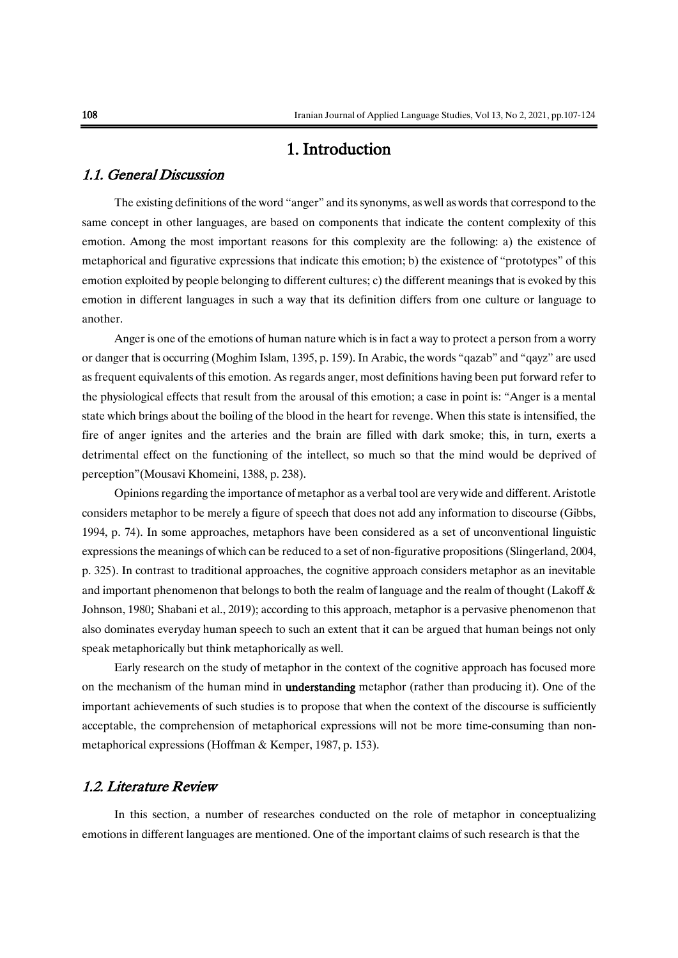## 1. Introduction

#### 1.1. General Discussion

The existing definitions of the word "anger" and its synonyms, as well as words that correspond to the same concept in other languages, are based on components that indicate the content complexity of this emotion. Among the most important reasons for this complexity are the following: a) the existence of metaphorical and figurative expressions that indicate this emotion; b) the existence of "prototypes" of this emotion exploited by people belonging to different cultures; c) the different meanings that is evoked by this emotion in different languages in such a way that its definition differs from one culture or language to another.

Anger is one of the emotions of human nature which is in fact a way to protect a person from a worry or danger that is occurring (Moghim Islam, 1395, p. 159). In Arabic, the words "qazab" and "qayz" are used as frequent equivalents of this emotion. As regards anger, most definitions having been put forward refer to the physiological effects that result from the arousal of this emotion; a case in point is: "Anger is a mental state which brings about the boiling of the blood in the heart for revenge. When this state is intensified, the fire of anger ignites and the arteries and the brain are filled with dark smoke; this, in turn, exerts a detrimental effect on the functioning of the intellect, so much so that the mind would be deprived of perception"(Mousavi Khomeini, 1388, p. 238).

Opinions regarding the importance of metaphor as a verbal tool are very wide and different. Aristotle considers metaphor to be merely a figure of speech that does not add any information to discourse (Gibbs, 1994, p. 74). In some approaches, metaphors have been considered as a set of unconventional linguistic expressions the meanings of which can be reduced to a set of non-figurative propositions (Slingerland, 2004, p. 325). In contrast to traditional approaches, the cognitive approach considers metaphor as an inevitable and important phenomenon that belongs to both the realm of language and the realm of thought (Lakoff & Johnson, 1980; Shabani et al., 2019); according to this approach, metaphor is a pervasive phenomenon that also dominates everyday human speech to such an extent that it can be argued that human beings not only speak metaphorically but think metaphorically as well.

Early research on the study of metaphor in the context of the cognitive approach has focused more on the mechanism of the human mind in understanding metaphor (rather than producing it). One of the important achievements of such studies is to propose that when the context of the discourse is sufficiently acceptable, the comprehension of metaphorical expressions will not be more time-consuming than nonmetaphorical expressions (Hoffman & Kemper, 1987, p. 153).

#### 1.2. Literature Review

In this section, a number of researches conducted on the role of metaphor in conceptualizing emotions in different languages are mentioned. One of the important claims of such research is that the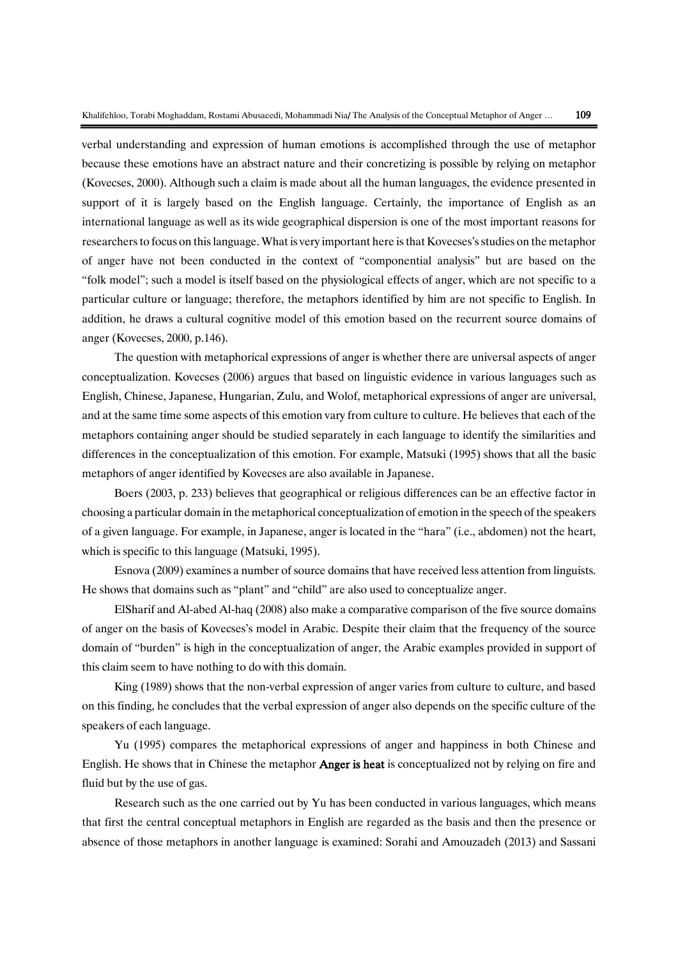verbal understanding and expression of human emotions is accomplished through the use of metaphor because these emotions have an abstract nature and their concretizing is possible by relying on metaphor (Kovecses, 2000). Although such a claim is made about all the human languages, the evidence presented in support of it is largely based on the English language. Certainly, the importance of English as an international language as well as its wide geographical dispersion is one of the most important reasons for researchers to focus on this language. What is very important here is that Kovecses's studies on the metaphor of anger have not been conducted in the context of "componential analysis" but are based on the "folk model"; such a model is itself based on the physiological effects of anger, which are not specific to a particular culture or language; therefore, the metaphors identified by him are not specific to English. In addition, he draws a cultural cognitive model of this emotion based on the recurrent source domains of anger (Kovecses, 2000, p.146).

The question with metaphorical expressions of anger is whether there are universal aspects of anger conceptualization. Kovecses (2006) argues that based on linguistic evidence in various languages such as English, Chinese, Japanese, Hungarian, Zulu, and Wolof, metaphorical expressions of anger are universal, and at the same time some aspects of this emotion vary from culture to culture. He believes that each of the metaphors containing anger should be studied separately in each language to identify the similarities and differences in the conceptualization of this emotion. For example, Matsuki (1995) shows that all the basic metaphors of anger identified by Kovecses are also available in Japanese.

Boers (2003, p. 233) believes that geographical or religious differences can be an effective factor in choosing a particular domain in the metaphorical conceptualization of emotion in the speech of the speakers of a given language. For example, in Japanese, anger is located in the "hara" (i.e., abdomen) not the heart, which is specific to this language (Matsuki, 1995).

Esnova (2009) examines a number of source domains that have received less attention from linguists. He shows that domains such as "plant" and "child" are also used to conceptualize anger.

ElSharif and Al-abed Al-haq (2008) also make a comparative comparison of the five source domains of anger on the basis of Kovecses's model in Arabic. Despite their claim that the frequency of the source domain of "burden" is high in the conceptualization of anger, the Arabic examples provided in support of this claim seem to have nothing to do with this domain.

King (1989) shows that the non-verbal expression of anger varies from culture to culture, and based on this finding, he concludes that the verbal expression of anger also depends on the specific culture of the speakers of each language.

Yu (1995) compares the metaphorical expressions of anger and happiness in both Chinese and English. He shows that in Chinese the metaphor Anger is heat is conceptualized not by relying on fire and fluid but by the use of gas.

Research such as the one carried out by Yu has been conducted in various languages, which means that first the central conceptual metaphors in English are regarded as the basis and then the presence or absence of those metaphors in another language is examined: Sorahi and Amouzadeh (2013) and Sassani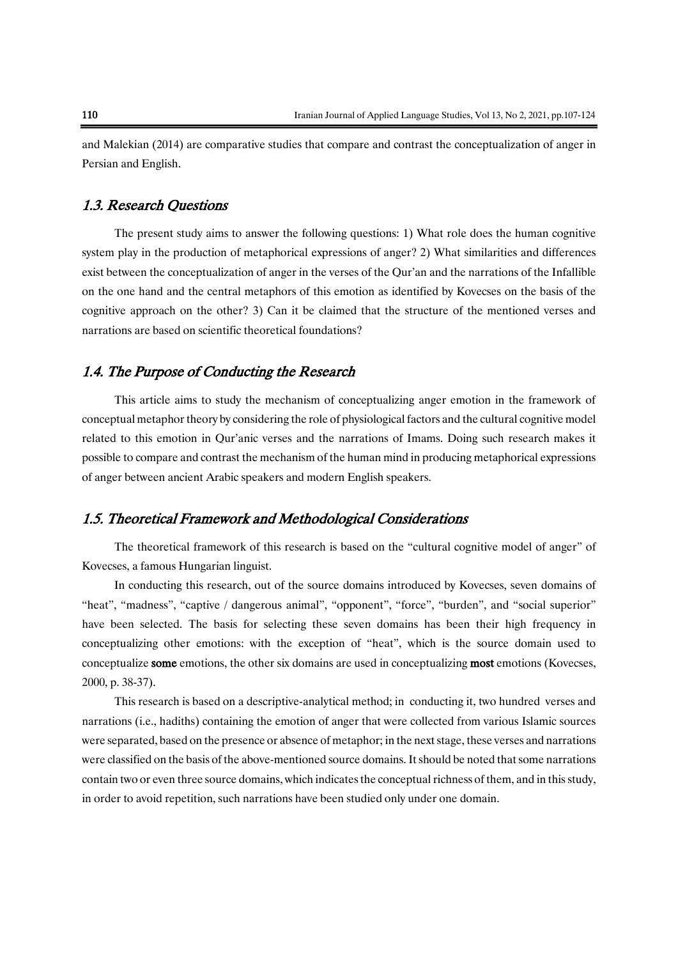and Malekian (2014) are comparative studies that compare and contrast the conceptualization of anger in Persian and English.

#### 1.3. Research Questions

The present study aims to answer the following questions: 1) What role does the human cognitive system play in the production of metaphorical expressions of anger? 2) What similarities and differences exist between the conceptualization of anger in the verses of the Qur'an and the narrations of the Infallible on the one hand and the central metaphors of this emotion as identified by Kovecses on the basis of the cognitive approach on the other? 3) Can it be claimed that the structure of the mentioned verses and narrations are based on scientific theoretical foundations?

#### 1.4. The Purpose of Conducting the Research

This article aims to study the mechanism of conceptualizing anger emotion in the framework of conceptual metaphor theory by considering the role of physiological factors and the cultural cognitive model related to this emotion in Qur'anic verses and the narrations of Imams. Doing such research makes it possible to compare and contrast the mechanism of the human mind in producing metaphorical expressions of anger between ancient Arabic speakers and modern English speakers.

#### 1.5. Theoretical Framework and Methodological Considerations

The theoretical framework of this research is based on the "cultural cognitive model of anger" of Kovecses, a famous Hungarian linguist.

In conducting this research, out of the source domains introduced by Kovecses, seven domains of "heat", "madness", "captive / dangerous animal", "opponent", "force", "burden", and "social superior" have been selected. The basis for selecting these seven domains has been their high frequency in conceptualizing other emotions: with the exception of "heat", which is the source domain used to conceptualize some emotions, the other six domains are used in conceptualizing most emotions (Kovecses, 2000, p. 38-37).

This research is based on a descriptive-analytical method; in conducting it, two hundred verses and narrations (i.e., hadiths) containing the emotion of anger that were collected from various Islamic sources were separated, based on the presence or absence of metaphor; in the next stage, these verses and narrations were classified on the basis of the above-mentioned source domains. It should be noted that some narrations contain two or even three source domains, which indicates the conceptual richness of them, and in this study, in order to avoid repetition, such narrations have been studied only under one domain.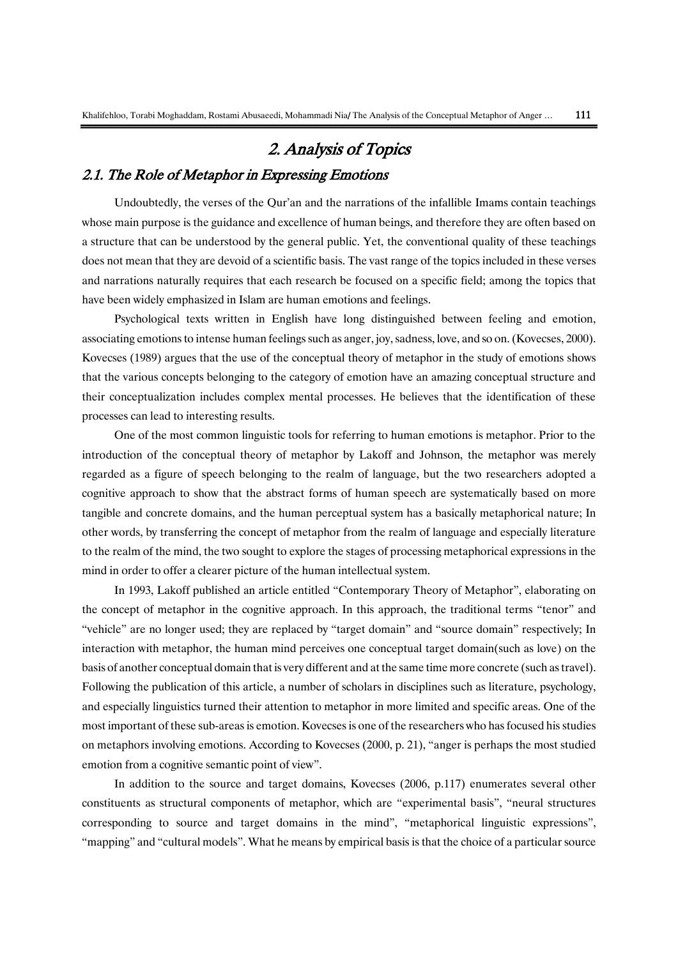# 2. Analysis of Topics 2.1. The Role of Metaphor in Expressing Emotions

# Undoubtedly, the verses of the Qur'an and the narrations of the infallible Imams contain teachings whose main purpose is the guidance and excellence of human beings, and therefore they are often based on a structure that can be understood by the general public. Yet, the conventional quality of these teachings does not mean that they are devoid of a scientific basis. The vast range of the topics included in these verses and narrations naturally requires that each research be focused on a specific field; among the topics that have been widely emphasized in Islam are human emotions and feelings.

Psychological texts written in English have long distinguished between feeling and emotion, associating emotions to intense human feelings such as anger, joy, sadness, love, and so on. (Kovecses, 2000). Kovecses (1989) argues that the use of the conceptual theory of metaphor in the study of emotions shows that the various concepts belonging to the category of emotion have an amazing conceptual structure and their conceptualization includes complex mental processes. He believes that the identification of these processes can lead to interesting results.

One of the most common linguistic tools for referring to human emotions is metaphor. Prior to the introduction of the conceptual theory of metaphor by Lakoff and Johnson, the metaphor was merely regarded as a figure of speech belonging to the realm of language, but the two researchers adopted a cognitive approach to show that the abstract forms of human speech are systematically based on more tangible and concrete domains, and the human perceptual system has a basically metaphorical nature; In other words, by transferring the concept of metaphor from the realm of language and especially literature to the realm of the mind, the two sought to explore the stages of processing metaphorical expressions in the mind in order to offer a clearer picture of the human intellectual system.

In 1993, Lakoff published an article entitled "Contemporary Theory of Metaphor", elaborating on the concept of metaphor in the cognitive approach. In this approach, the traditional terms "tenor" and "vehicle" are no longer used; they are replaced by "target domain" and "source domain" respectively; In interaction with metaphor, the human mind perceives one conceptual target domain(such as love) on the basis of another conceptual domain that is very different and at the same time more concrete (such as travel). Following the publication of this article, a number of scholars in disciplines such as literature, psychology, and especially linguistics turned their attention to metaphor in more limited and specific areas. One of the most important of these sub-areas is emotion. Kovecses is one of the researchers who has focused his studies on metaphors involving emotions. According to Kovecses (2000, p. 21), "anger is perhaps the most studied emotion from a cognitive semantic point of view".

In addition to the source and target domains, Kovecses (2006, p.117) enumerates several other constituents as structural components of metaphor, which are "experimental basis", "neural structures corresponding to source and target domains in the mind", "metaphorical linguistic expressions", "mapping" and "cultural models". What he means by empirical basis is that the choice of a particular source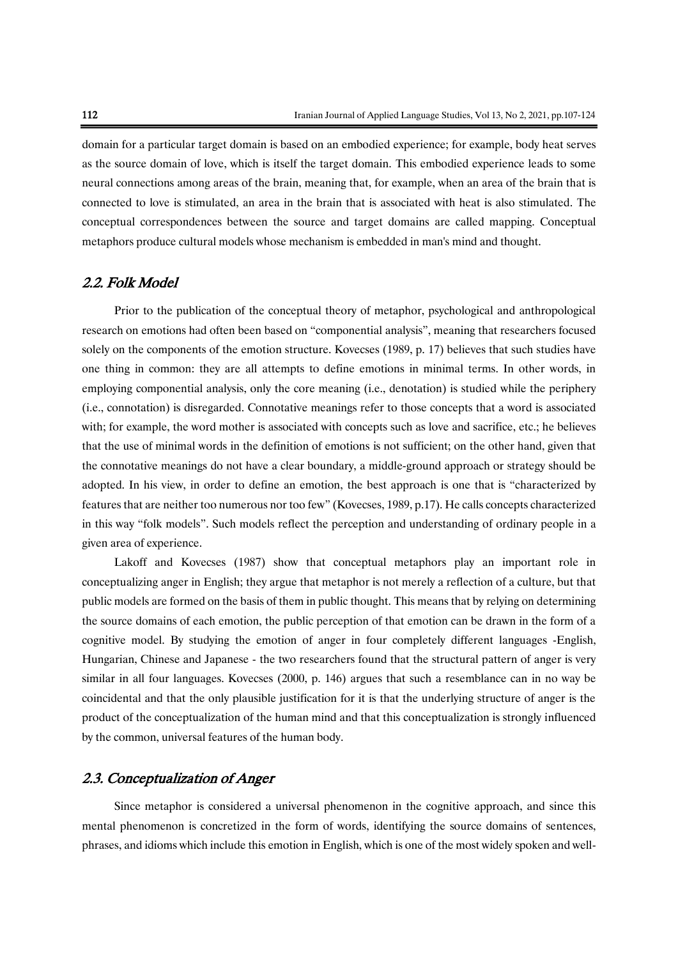domain for a particular target domain is based on an embodied experience; for example, body heat serves as the source domain of love, which is itself the target domain. This embodied experience leads to some neural connections among areas of the brain, meaning that, for example, when an area of the brain that is connected to love is stimulated, an area in the brain that is associated with heat is also stimulated. The conceptual correspondences between the source and target domains are called mapping. Conceptual metaphors produce cultural models whose mechanism is embedded in man's mind and thought.

#### 2.2. Folk Model

Prior to the publication of the conceptual theory of metaphor, psychological and anthropological research on emotions had often been based on "componential analysis", meaning that researchers focused solely on the components of the emotion structure. Kovecses (1989, p. 17) believes that such studies have one thing in common: they are all attempts to define emotions in minimal terms. In other words, in employing componential analysis, only the core meaning (i.e., denotation) is studied while the periphery (i.e., connotation) is disregarded. Connotative meanings refer to those concepts that a word is associated with; for example, the word mother is associated with concepts such as love and sacrifice, etc.; he believes that the use of minimal words in the definition of emotions is not sufficient; on the other hand, given that the connotative meanings do not have a clear boundary, a middle-ground approach or strategy should be adopted. In his view, in order to define an emotion, the best approach is one that is "characterized by features that are neither too numerous nor too few" (Kovecses, 1989, p.17). He calls concepts characterized in this way "folk models". Such models reflect the perception and understanding of ordinary people in a given area of experience.

Lakoff and Kovecses (1987) show that conceptual metaphors play an important role in conceptualizing anger in English; they argue that metaphor is not merely a reflection of a culture, but that public models are formed on the basis of them in public thought. This means that by relying on determining the source domains of each emotion, the public perception of that emotion can be drawn in the form of a cognitive model. By studying the emotion of anger in four completely different languages -English, Hungarian, Chinese and Japanese - the two researchers found that the structural pattern of anger is very similar in all four languages. Kovecses (2000, p. 146) argues that such a resemblance can in no way be coincidental and that the only plausible justification for it is that the underlying structure of anger is the product of the conceptualization of the human mind and that this conceptualization is strongly influenced by the common, universal features of the human body.

#### 2.3. Conceptualization of Anger

Since metaphor is considered a universal phenomenon in the cognitive approach, and since this mental phenomenon is concretized in the form of words, identifying the source domains of sentences, phrases, and idioms which include this emotion in English, which is one of the most widely spoken and well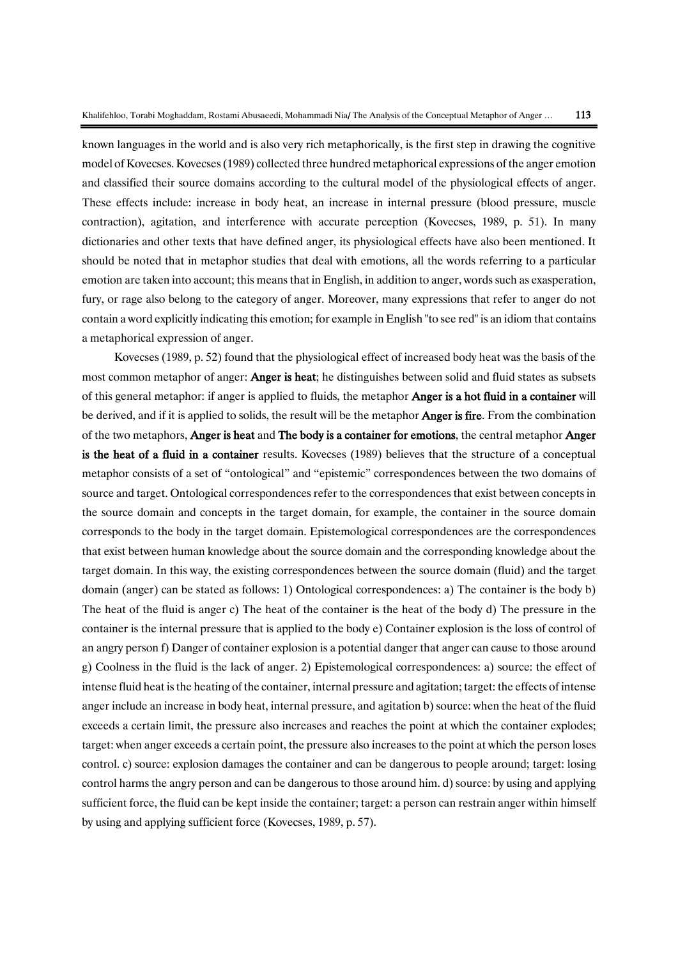known languages in the world and is also very rich metaphorically, is the first step in drawing the cognitive model of Kovecses. Kovecses(1989) collected three hundred metaphorical expressions of the anger emotion and classified their source domains according to the cultural model of the physiological effects of anger. These effects include: increase in body heat, an increase in internal pressure (blood pressure, muscle contraction), agitation, and interference with accurate perception (Kovecses, 1989, p. 51). In many dictionaries and other texts that have defined anger, its physiological effects have also been mentioned. It should be noted that in metaphor studies that deal with emotions, all the words referring to a particular emotion are taken into account; this means that in English, in addition to anger, words such as exasperation, fury, or rage also belong to the category of anger. Moreover, many expressions that refer to anger do not contain a word explicitly indicating this emotion; for example in English "to see red" is an idiom that contains a metaphorical expression of anger.

Kovecses (1989, p. 52) found that the physiological effect of increased body heat was the basis of the most common metaphor of anger: **Anger is heat**; he distinguishes between solid and fluid states as subsets of this general metaphor: if anger is applied to fluids, the metaphor Anger is a hot fluid in a container will be derived, and if it is applied to solids, the result will be the metaphor **Anger is fire**. From the combination of the two metaphors, Anger is heat and The body is a container for emotions, the central metaphor Anger is the heat of a fluid in a container results. Kovecses (1989) believes that the structure of a conceptual metaphor consists of a set of "ontological" and "epistemic" correspondences between the two domains of source and target. Ontological correspondences refer to the correspondences that exist between concepts in the source domain and concepts in the target domain, for example, the container in the source domain corresponds to the body in the target domain. Epistemological correspondences are the correspondences that exist between human knowledge about the source domain and the corresponding knowledge about the target domain. In this way, the existing correspondences between the source domain (fluid) and the target domain (anger) can be stated as follows: 1) Ontological correspondences: a) The container is the body b) The heat of the fluid is anger c) The heat of the container is the heat of the body d) The pressure in the container is the internal pressure that is applied to the body e) Container explosion is the loss of control of an angry person f) Danger of container explosion is a potential danger that anger can cause to those around g) Coolness in the fluid is the lack of anger. 2) Epistemological correspondences: a) source: the effect of intense fluid heat is the heating of the container, internal pressure and agitation; target: the effects of intense anger include an increase in body heat, internal pressure, and agitation b) source: when the heat of the fluid exceeds a certain limit, the pressure also increases and reaches the point at which the container explodes; target: when anger exceeds a certain point, the pressure also increases to the point at which the person loses control. c) source: explosion damages the container and can be dangerous to people around; target: losing control harms the angry person and can be dangerous to those around him. d) source: by using and applying sufficient force, the fluid can be kept inside the container; target: a person can restrain anger within himself by using and applying sufficient force (Kovecses, 1989, p. 57).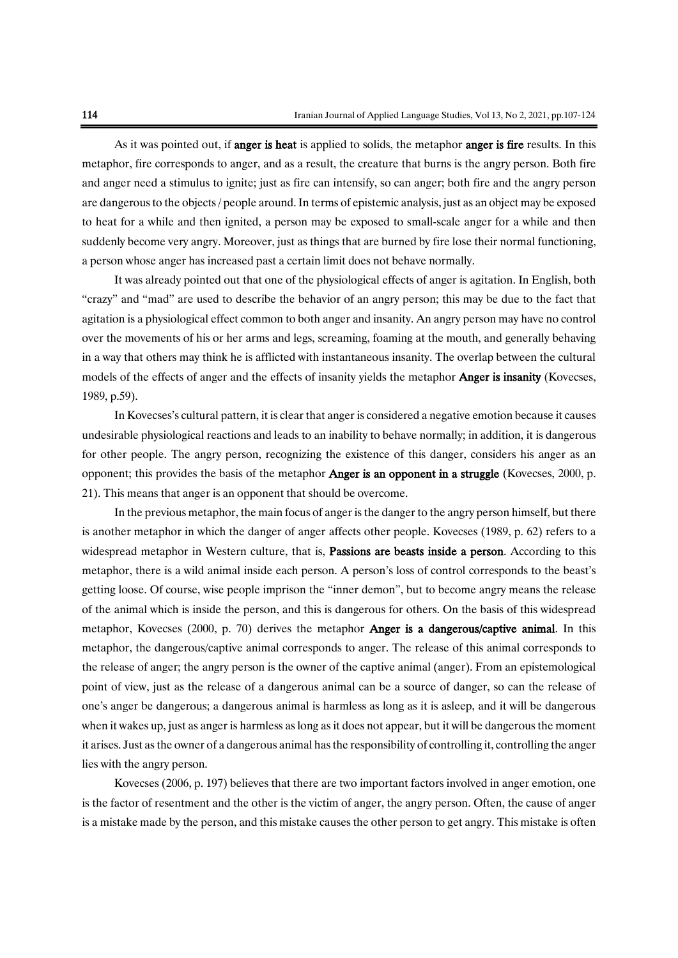As it was pointed out, if **anger is heat** is applied to solids, the metaphor **anger is fire** results. In this metaphor, fire corresponds to anger, and as a result, the creature that burns is the angry person. Both fire and anger need a stimulus to ignite; just as fire can intensify, so can anger; both fire and the angry person are dangerous to the objects / people around. In terms of epistemic analysis, just as an object may be exposed to heat for a while and then ignited, a person may be exposed to small-scale anger for a while and then suddenly become very angry. Moreover, just as things that are burned by fire lose their normal functioning, a person whose anger has increased past a certain limit does not behave normally.

It was already pointed out that one of the physiological effects of anger is agitation. In English, both "crazy" and "mad" are used to describe the behavior of an angry person; this may be due to the fact that agitation is a physiological effect common to both anger and insanity. An angry person may have no control over the movements of his or her arms and legs, screaming, foaming at the mouth, and generally behaving in a way that others may think he is afflicted with instantaneous insanity. The overlap between the cultural models of the effects of anger and the effects of insanity yields the metaphor **Anger is insanity** (Kovecses, 1989, p.59).

In Kovecses's cultural pattern, it is clear that anger is considered a negative emotion because it causes undesirable physiological reactions and leads to an inability to behave normally; in addition, it is dangerous for other people. The angry person, recognizing the existence of this danger, considers his anger as an opponent; this provides the basis of the metaphor Anger is an opponent in a struggle (Kovecses, 2000, p. 21). This means that anger is an opponent that should be overcome.

In the previous metaphor, the main focus of anger is the danger to the angry person himself, but there is another metaphor in which the danger of anger affects other people. Kovecses (1989, p. 62) refers to a widespread metaphor in Western culture, that is, Passions are beasts inside a person. According to this metaphor, there is a wild animal inside each person. A person's loss of control corresponds to the beast's getting loose. Of course, wise people imprison the "inner demon", but to become angry means the release of the animal which is inside the person, and this is dangerous for others. On the basis of this widespread metaphor, Kovecses (2000, p. 70) derives the metaphor Anger is a dangerous/captive animal. In this metaphor, the dangerous/captive animal corresponds to anger. The release of this animal corresponds to the release of anger; the angry person is the owner of the captive animal (anger). From an epistemological point of view, just as the release of a dangerous animal can be a source of danger, so can the release of one's anger be dangerous; a dangerous animal is harmless as long as it is asleep, and it will be dangerous when it wakes up, just as anger is harmless as long as it does not appear, but it will be dangerous the moment it arises. Just as the owner of a dangerous animal has the responsibility of controlling it, controlling the anger lies with the angry person.

Kovecses (2006, p. 197) believes that there are two important factors involved in anger emotion, one is the factor of resentment and the other is the victim of anger, the angry person. Often, the cause of anger is a mistake made by the person, and this mistake causes the other person to get angry. This mistake is often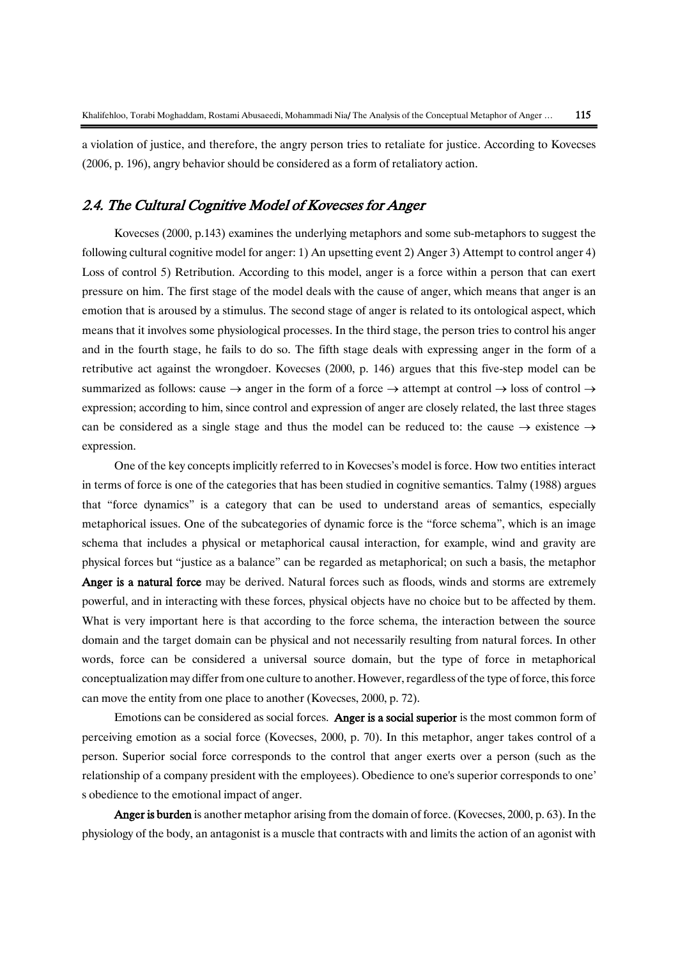a violation of justice, and therefore, the angry person tries to retaliate for justice. According to Kovecses (2006, p. 196), angry behavior should be considered as a form of retaliatory action.

#### 2.4. The Cultural Cognitive Model of Kovecses for Anger

Kovecses (2000, p.143) examines the underlying metaphors and some sub-metaphors to suggest the following cultural cognitive model for anger: 1) An upsetting event 2) Anger 3) Attempt to control anger 4) Loss of control 5) Retribution. According to this model, anger is a force within a person that can exert pressure on him. The first stage of the model deals with the cause of anger, which means that anger is an emotion that is aroused by a stimulus. The second stage of anger is related to its ontological aspect, which means that it involves some physiological processes. In the third stage, the person tries to control his anger and in the fourth stage, he fails to do so. The fifth stage deals with expressing anger in the form of a retributive act against the wrongdoer. Kovecses (2000, p. 146) argues that this five-step model can be summarized as follows: cause  $\rightarrow$  anger in the form of a force  $\rightarrow$  attempt at control  $\rightarrow$  loss of control  $\rightarrow$ expression; according to him, since control and expression of anger are closely related, the last three stages can be considered as a single stage and thus the model can be reduced to: the cause  $\rightarrow$  existence  $\rightarrow$ expression.

One of the key concepts implicitly referred to in Kovecses's model is force. How two entities interact in terms of force is one of the categories that has been studied in cognitive semantics. Talmy (1988) argues that "force dynamics" is a category that can be used to understand areas of semantics, especially metaphorical issues. One of the subcategories of dynamic force is the "force schema", which is an image schema that includes a physical or metaphorical causal interaction, for example, wind and gravity are physical forces but "justice as a balance" can be regarded as metaphorical; on such a basis, the metaphor Anger is a natural force may be derived. Natural forces such as floods, winds and storms are extremely powerful, and in interacting with these forces, physical objects have no choice but to be affected by them. What is very important here is that according to the force schema, the interaction between the source domain and the target domain can be physical and not necessarily resulting from natural forces. In other words, force can be considered a universal source domain, but the type of force in metaphorical conceptualization may differ from one culture to another. However, regardless of the type of force, this force can move the entity from one place to another (Kovecses, 2000, p. 72).

Emotions can be considered as social forces. Anger is a social superior is the most common form of perceiving emotion as a social force (Kovecses, 2000, p. 70). In this metaphor, anger takes control of a person. Superior social force corresponds to the control that anger exerts over a person (such as the relationship of a company president with the employees). Obedience to one's superior corresponds to one' s obedience to the emotional impact of anger.

Anger is burden is another metaphor arising from the domain of force. (Kovecses, 2000, p. 63). In the physiology of the body, an antagonist is a muscle that contracts with and limits the action of an agonist with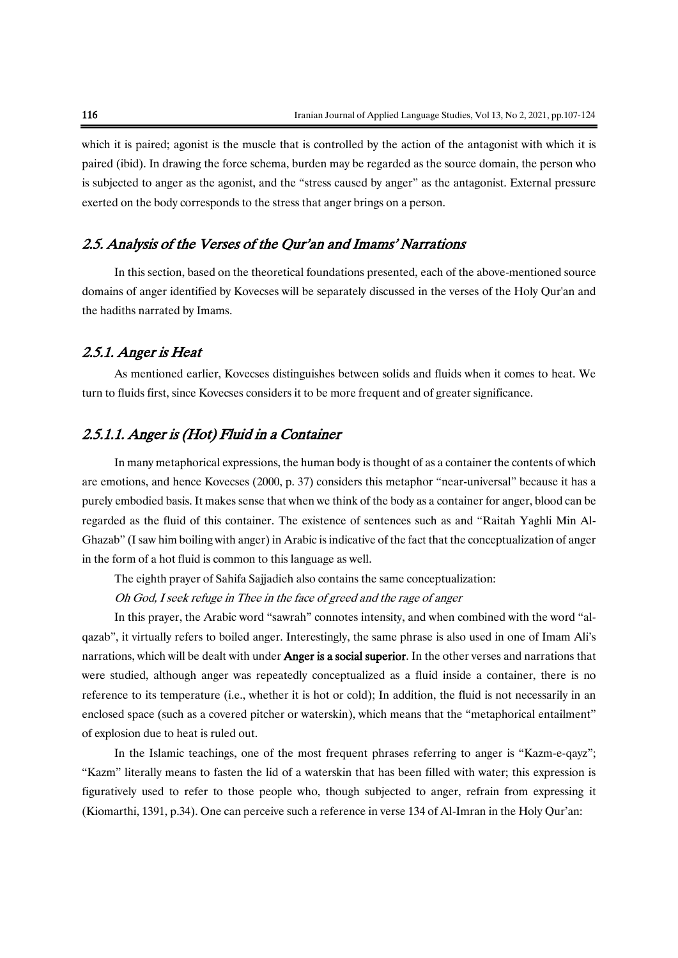which it is paired; agonist is the muscle that is controlled by the action of the antagonist with which it is paired (ibid). In drawing the force schema, burden may be regarded as the source domain, the person who is subjected to anger as the agonist, and the "stress caused by anger" as the antagonist. External pressure exerted on the body corresponds to the stress that anger brings on a person.

#### 2.5. Analysis of the Verses of the Qur'an and Imams' Narrations

In this section, based on the theoretical foundations presented, each of the above-mentioned source domains of anger identified by Kovecses will be separately discussed in the verses of the Holy Qur'an and the hadiths narrated by Imams.

#### 2.5.1. Anger is Heat

As mentioned earlier, Kovecses distinguishes between solids and fluids when it comes to heat. We turn to fluids first, since Kovecses considers it to be more frequent and of greater significance.

#### 2.5.1.1. Anger is (Hot) Fluid in a Container

In many metaphorical expressions, the human body is thought of as a container the contents of which are emotions, and hence Kovecses (2000, p. 37) considers this metaphor "near-universal" because it has a purely embodied basis. It makes sense that when we think of the body as a container for anger, blood can be regarded as the fluid of this container. The existence of sentences such as and "Raitah Yaghli Min Al-Ghazab" (I saw him boiling with anger) in Arabic is indicative of the fact that the conceptualization of anger in the form of a hot fluid is common to this language as well.

The eighth prayer of Sahifa Sajjadieh also contains the same conceptualization:

Oh God, I seek refuge in Thee in the face of greed and the rage of anger

In this prayer, the Arabic word "sawrah" connotes intensity, and when combined with the word "alqazab", it virtually refers to boiled anger. Interestingly, the same phrase is also used in one of Imam Ali's narrations, which will be dealt with under **Anger is a social superior**. In the other verses and narrations that were studied, although anger was repeatedly conceptualized as a fluid inside a container, there is no reference to its temperature (i.e., whether it is hot or cold); In addition, the fluid is not necessarily in an enclosed space (such as a covered pitcher or waterskin), which means that the "metaphorical entailment" of explosion due to heat is ruled out.

In the Islamic teachings, one of the most frequent phrases referring to anger is "Kazm-e-qayz"; "Kazm" literally means to fasten the lid of a waterskin that has been filled with water; this expression is figuratively used to refer to those people who, though subjected to anger, refrain from expressing it (Kiomarthi, 1391, p.34). One can perceive such a reference in verse 134 of Al-Imran in the Holy Qur'an: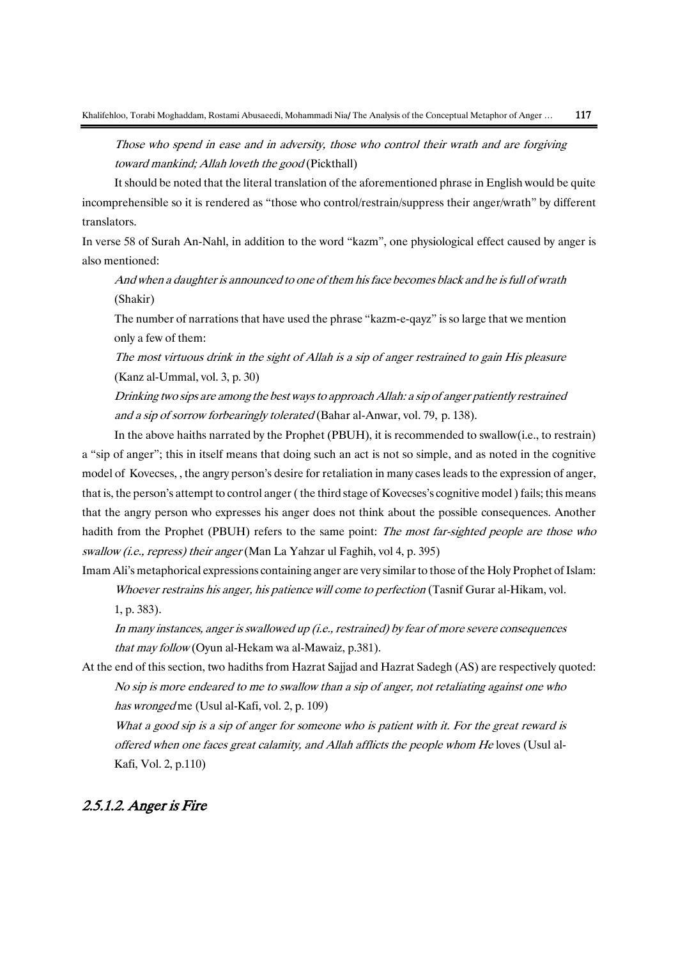Those who spend in ease and in adversity, those who control their wrath and are forgiving toward mankind; Allah loveth the good (Pickthall)

It should be noted that the literal translation of the aforementioned phrase in English would be quite incomprehensible so it is rendered as "those who control/restrain/suppress their anger/wrath" by different translators.

In verse 58 of Surah An-Nahl, in addition to the word "kazm", one physiological effect caused by anger is also mentioned:

And when a daughter is announced to one of them his face becomes black and he is full of wrath (Shakir)

The number of narrations that have used the phrase "kazm-e-qayz" is so large that we mention only a few of them:

The most virtuous drink in the sight of Allah is a sip of anger restrained to gain His pleasure (Kanz al-Ummal, vol. 3, p. 30)

Drinking two sips are among the best ways to approach Allah: a sip of anger patiently restrained and a sip of sorrow forbearingly tolerated (Bahar al-Anwar, vol. 79, p. 138).

In the above haiths narrated by the Prophet (PBUH), it is recommended to swallow(i.e., to restrain) a "sip of anger"; this in itself means that doing such an act is not so simple, and as noted in the cognitive model of Kovecses, , the angry person's desire for retaliation in many cases leads to the expression of anger, that is, the person's attempt to control anger ( the third stage of Kovecses's cognitive model ) fails; this means that the angry person who expresses his anger does not think about the possible consequences. Another hadith from the Prophet (PBUH) refers to the same point: *The most far-sighted people are those who* swallow (i.e., repress) their anger (Man La Yahzar ul Faghih, vol 4, p. 395)

Imam Ali's metaphorical expressions containing anger are very similar to those of the Holy Prophet of Islam: Whoever restrains his anger, his patience will come to perfection (Tasnif Gurar al-Hikam, vol.

1, p. 383).

In many instances, anger is swallowed up (i.e., restrained) by fear of more severe consequences that may follow (Oyun al-Hekam wa al-Mawaiz, p.381).

At the end of this section, two hadiths from Hazrat Sajjad and Hazrat Sadegh (AS) are respectively quoted: No sip is more endeared to me to swallow than a sip of anger, not retaliating against one who has wronged me (Usul al-Kafi, vol. 2, p. 109)

What a good sip is a sip of anger for someone who is patient with it. For the great reward is offered when one faces great calamity, and Allah afflicts the people whom He loves (Usul al-Kafi, Vol. 2, p.110)

#### 2.5.1.2. Anger is Fire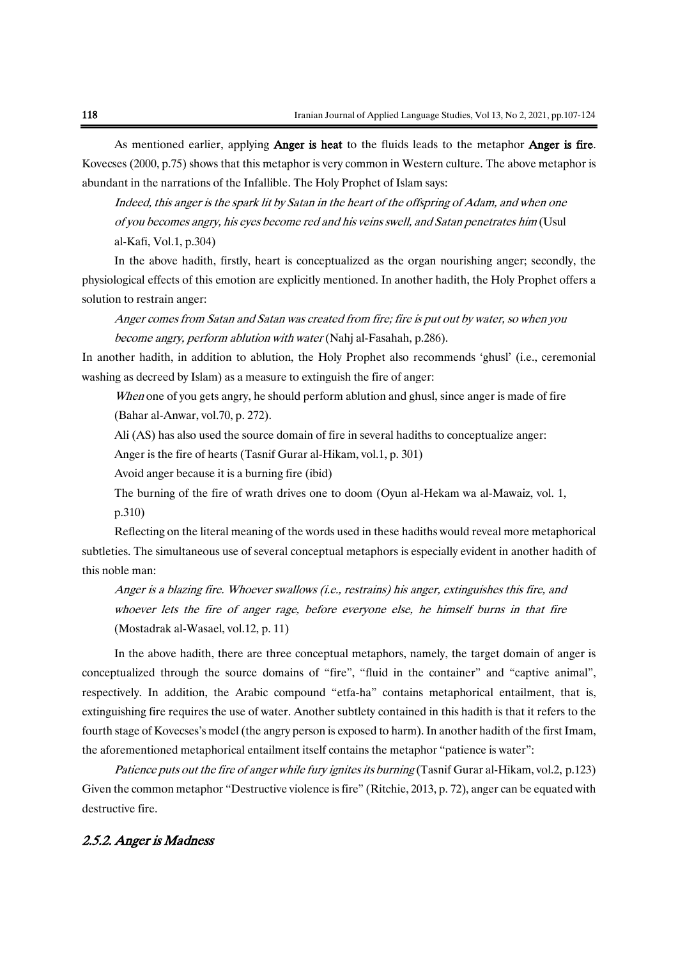As mentioned earlier, applying **Anger is heat** to the fluids leads to the metaphor **Anger is fire**. Kovecses (2000, p.75) shows that this metaphor is very common in Western culture. The above metaphor is abundant in the narrations of the Infallible. The Holy Prophet of Islam says:

Indeed, this anger is the spark lit by Satan in the heart of the offspring of Adam, and when one of you becomes angry, his eyes become red and his veins swell, and Satan penetrates him (Usul al-Kafi, Vol.1, p.304)

In the above hadith, firstly, heart is conceptualized as the organ nourishing anger; secondly, the physiological effects of this emotion are explicitly mentioned. In another hadith, the Holy Prophet offers a solution to restrain anger:

Anger comes from Satan and Satan was created from fire; fire is put out by water, so when you become angry, perform ablution with water (Nahj al-Fasahah, p.286).

In another hadith, in addition to ablution, the Holy Prophet also recommends 'ghusl' (i.e., ceremonial washing as decreed by Islam) as a measure to extinguish the fire of anger:

When one of you gets angry, he should perform ablution and ghusl, since anger is made of fire (Bahar al-Anwar, vol.70, p. 272).

Ali (AS) has also used the source domain of fire in several hadiths to conceptualize anger:

Anger is the fire of hearts (Tasnif Gurar al-Hikam, vol.1, p. 301)

Avoid anger because it is a burning fire (ibid)

The burning of the fire of wrath drives one to doom (Oyun al-Hekam wa al-Mawaiz, vol. 1, p.310)

Reflecting on the literal meaning of the words used in these hadiths would reveal more metaphorical subtleties. The simultaneous use of several conceptual metaphors is especially evident in another hadith of this noble man:

Anger is a blazing fire. Whoever swallows (i.e., restrains) his anger, extinguishes this fire, and whoever lets the fire of anger rage, before everyone else, he himself burns in that fire (Mostadrak al-Wasael, vol.12, p. 11)

In the above hadith, there are three conceptual metaphors, namely, the target domain of anger is conceptualized through the source domains of "fire", "fluid in the container" and "captive animal", respectively. In addition, the Arabic compound "etfa-ha" contains metaphorical entailment, that is, extinguishing fire requires the use of water. Another subtlety contained in this hadith is that it refers to the fourth stage of Kovecses's model (the angry person is exposed to harm). In another hadith of the first Imam, the aforementioned metaphorical entailment itself contains the metaphor "patience is water":

Patience puts out the fire of anger while fury ignites its burning (Tasnif Gurar al-Hikam, vol.2, p.123) Given the common metaphor "Destructive violence is fire" (Ritchie, 2013, p. 72), anger can be equated with destructive fire.

#### 2.5.2. Anger is Madness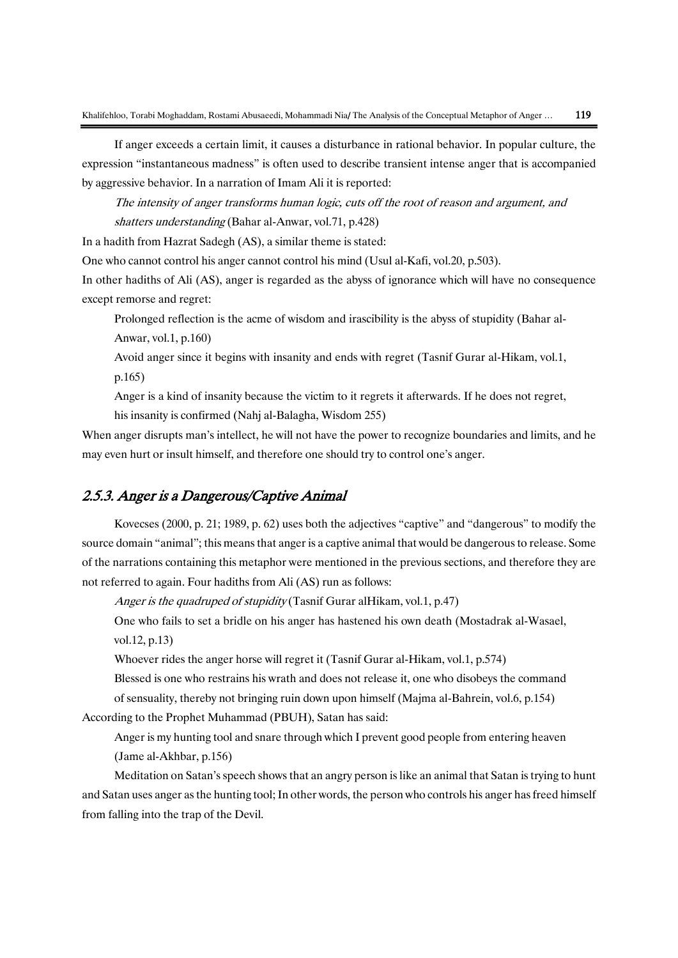If anger exceeds a certain limit, it causes a disturbance in rational behavior. In popular culture, the expression "instantaneous madness" is often used to describe transient intense anger that is accompanied by aggressive behavior. In a narration of Imam Ali it is reported:

The intensity of anger transforms human logic, cuts off the root of reason and argument, and shatters understanding (Bahar al-Anwar, vol.71, p.428)

In a hadith from Hazrat Sadegh (AS), a similar theme is stated:

One who cannot control his anger cannot control his mind (Usul al-Kafi, vol.20, p.503).

In other hadiths of Ali (AS), anger is regarded as the abyss of ignorance which will have no consequence except remorse and regret:

Prolonged reflection is the acme of wisdom and irascibility is the abyss of stupidity (Bahar al-Anwar, vol.1, p.160)

Avoid anger since it begins with insanity and ends with regret (Tasnif Gurar al-Hikam, vol.1, p.165)

Anger is a kind of insanity because the victim to it regrets it afterwards. If he does not regret, his insanity is confirmed (Nahj al-Balagha, Wisdom 255)

When anger disrupts man's intellect, he will not have the power to recognize boundaries and limits, and he may even hurt or insult himself, and therefore one should try to control one's anger.

#### 2.5.3. Anger is a Dangerous/Captive Animal

Kovecses (2000, p. 21; 1989, p. 62) uses both the adjectives "captive" and "dangerous" to modify the source domain "animal"; this means that anger is a captive animal that would be dangerous to release. Some of the narrations containing this metaphor were mentioned in the previous sections, and therefore they are not referred to again. Four hadiths from Ali (AS) run as follows:

Anger is the quadruped of stupidity (Tasnif Gurar alHikam, vol.1, p.47)

One who fails to set a bridle on his anger has hastened his own death (Mostadrak al-Wasael, vol.12, p.13)

Whoever rides the anger horse will regret it (Tasnif Gurar al-Hikam, vol.1, p.574)

Blessed is one who restrains his wrath and does not release it, one who disobeys the command

of sensuality, thereby not bringing ruin down upon himself (Majma al-Bahrein, vol.6, p.154)

According to the Prophet Muhammad (PBUH), Satan has said:

Anger is my hunting tool and snare through which I prevent good people from entering heaven (Jame al-Akhbar, p.156)

Meditation on Satan's speech shows that an angry person is like an animal that Satan is trying to hunt and Satan uses anger as the hunting tool; In other words, the person who controls his anger has freed himself from falling into the trap of the Devil.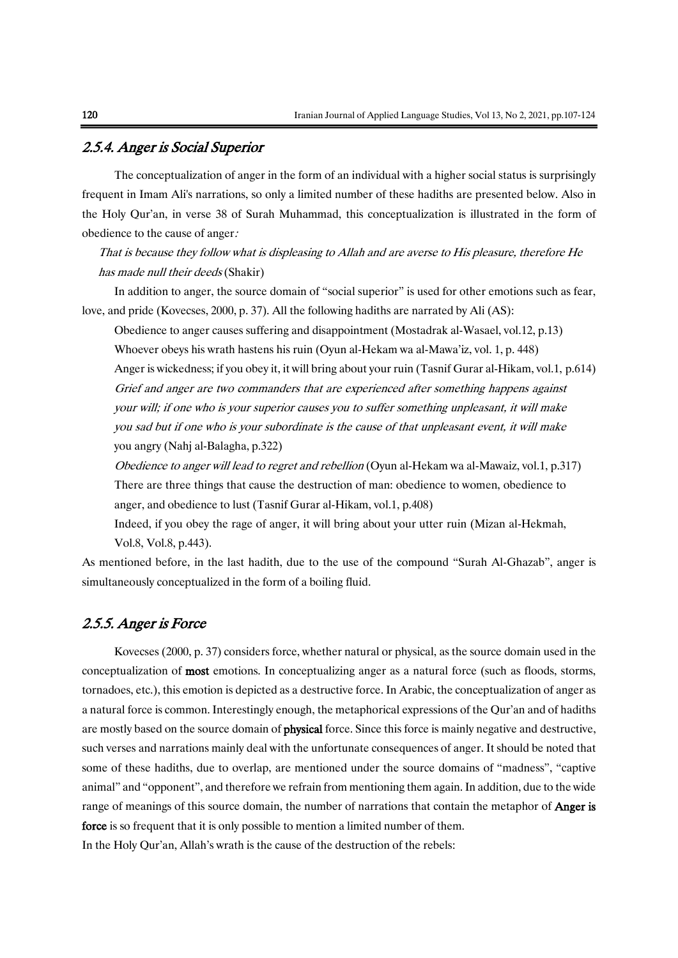#### 2.5.4. Anger is Social Superior

The conceptualization of anger in the form of an individual with a higher social status is surprisingly frequent in Imam Ali's narrations, so only a limited number of these hadiths are presented below. Also in the Holy Qur'an, in verse 38 of Surah Muhammad, this conceptualization is illustrated in the form of obedience to the cause of anger:

That is because they follow what is displeasing to Allah and are averse to His pleasure, therefore He has made null their deeds (Shakir)

In addition to anger, the source domain of "social superior" is used for other emotions such as fear, love, and pride (Kovecses, 2000, p. 37). All the following hadiths are narrated by Ali (AS):

Obedience to anger causes suffering and disappointment (Mostadrak al-Wasael, vol.12, p.13) Whoever obeys his wrath hastens his ruin (Oyun al-Hekam wa al-Mawa'iz, vol. 1, p. 448) Anger is wickedness; if you obey it, it will bring about your ruin (Tasnif Gurar al-Hikam, vol.1, p.614) Grief and anger are two commanders that are experienced after something happens against your will; if one who is your superior causes you to suffer something unpleasant, it will make you sad but if one who is your subordinate is the cause of that unpleasant event, it will make you angry (Nahj al-Balagha, p.322)

Obedience to anger will lead to regret and rebellion (Oyun al-Hekam wa al-Mawaiz, vol.1, p.317) There are three things that cause the destruction of man: obedience to women, obedience to anger, and obedience to lust (Tasnif Gurar al-Hikam, vol.1, p.408)

Indeed, if you obey the rage of anger, it will bring about your utter ruin (Mizan al-Hekmah, Vol.8, Vol.8, p.443).

As mentioned before, in the last hadith, due to the use of the compound "Surah Al-Ghazab", anger is simultaneously conceptualized in the form of a boiling fluid.

#### 2.5.5. Anger is Force

Kovecses (2000, p. 37) considers force, whether natural or physical, as the source domain used in the conceptualization of most emotions. In conceptualizing anger as a natural force (such as floods, storms, tornadoes, etc.), this emotion is depicted as a destructive force. In Arabic, the conceptualization of anger as a natural force is common. Interestingly enough, the metaphorical expressions of the Qur'an and of hadiths are mostly based on the source domain of physical force. Since this force is mainly negative and destructive, such verses and narrations mainly deal with the unfortunate consequences of anger. It should be noted that some of these hadiths, due to overlap, are mentioned under the source domains of "madness", "captive animal" and "opponent", and therefore we refrain from mentioning them again. In addition, due to the wide range of meanings of this source domain, the number of narrations that contain the metaphor of **Anger is** force is so frequent that it is only possible to mention a limited number of them.

In the Holy Qur'an, Allah's wrath is the cause of the destruction of the rebels: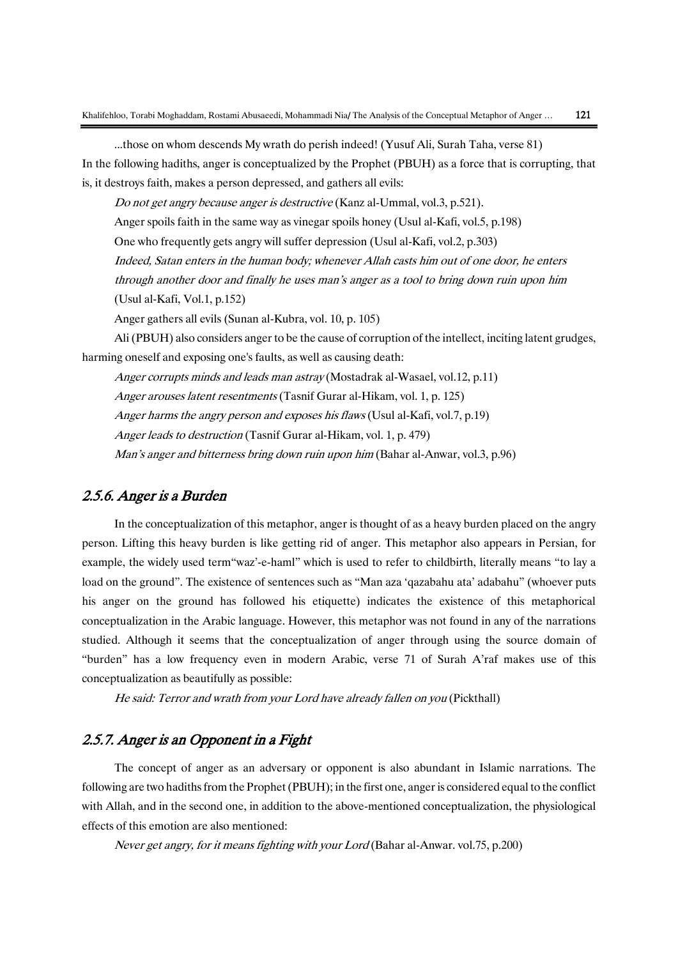...those on whom descends My wrath do perish indeed! (Yusuf Ali, Surah Taha, verse 81) In the following hadiths, anger is conceptualized by the Prophet (PBUH) as a force that is corrupting, that is, it destroys faith, makes a person depressed, and gathers all evils:

Do not get angry because anger is destructive (Kanz al-Ummal, vol.3, p.521).

Anger spoils faith in the same way as vinegar spoils honey (Usul al-Kafi, vol.5, p.198)

One who frequently gets angry will suffer depression (Usul al-Kafi, vol.2, p.303)

Indeed, Satan enters in the human body; whenever Allah casts him out of one door, he enters

through another door and finally he uses man's anger as a tool to bring down ruin upon him (Usul al-Kafi, Vol.1, p.152)

Anger gathers all evils (Sunan al-Kubra, vol. 10, p. 105)

Ali (PBUH) also considers anger to be the cause of corruption of the intellect, inciting latent grudges, harming oneself and exposing one's faults, as well as causing death:

Anger corrupts minds and leads man astray (Mostadrak al-Wasael, vol.12, p.11)

Anger arouses latent resentments (Tasnif Gurar al-Hikam, vol. 1, p. 125)

Anger harms the angry person and exposes his flaws (Usul al-Kafi, vol.7, p.19)

Anger leads to destruction (Tasnif Gurar al-Hikam, vol. 1, p. 479)

Man's anger and bitterness bring down ruin upon him (Bahar al-Anwar, vol.3, p.96)

#### 2.5.6. Anger is a Burden

In the conceptualization of this metaphor, anger is thought of as a heavy burden placed on the angry person. Lifting this heavy burden is like getting rid of anger. This metaphor also appears in Persian, for example, the widely used term"waz'-e-haml" which is used to refer to childbirth, literally means "to lay a load on the ground". The existence of sentences such as "Man aza 'qazabahu ata' adabahu" (whoever puts his anger on the ground has followed his etiquette) indicates the existence of this metaphorical conceptualization in the Arabic language. However, this metaphor was not found in any of the narrations studied. Although it seems that the conceptualization of anger through using the source domain of "burden" has a low frequency even in modern Arabic, verse 71 of Surah A'raf makes use of this conceptualization as beautifully as possible:

He said: Terror and wrath from your Lord have already fallen on you (Pickthall)

#### 2.5.7. Anger is an Opponent in a Fight

The concept of anger as an adversary or opponent is also abundant in Islamic narrations. The following are two hadiths from the Prophet (PBUH); in the first one, anger is considered equal to the conflict with Allah, and in the second one, in addition to the above-mentioned conceptualization, the physiological effects of this emotion are also mentioned:

Never get angry, for it means fighting with your Lord (Bahar al-Anwar. vol.75, p.200)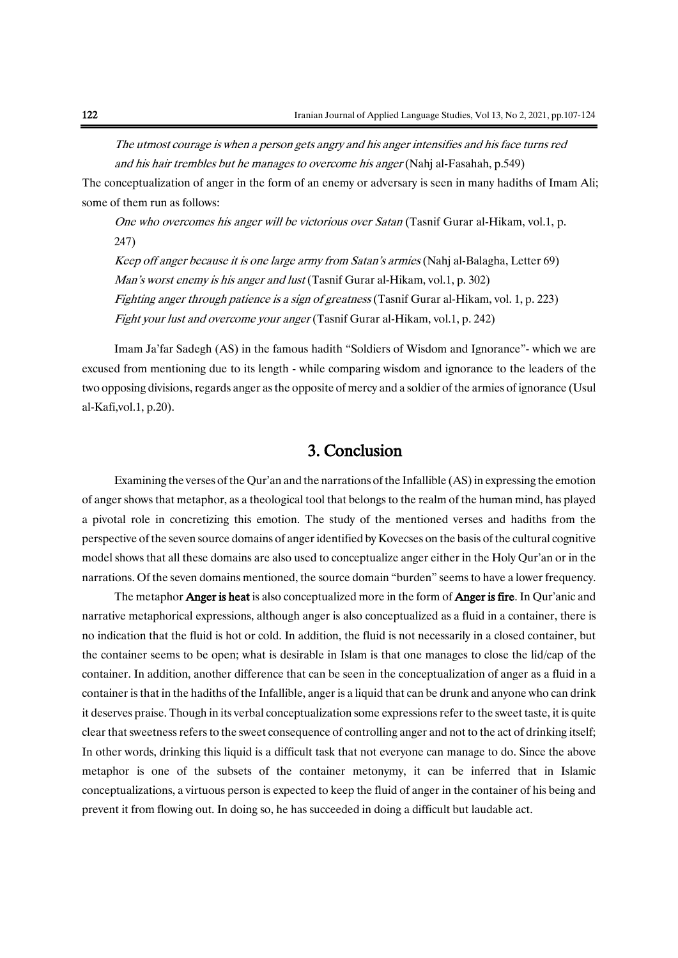The utmost courage is when a person gets angry and his anger intensifies and his face turns red and his hair trembles but he manages to overcome his anger (Nahj al-Fasahah, p.549)

The conceptualization of anger in the form of an enemy or adversary is seen in many hadiths of Imam Ali; some of them run as follows:

One who overcomes his anger will be victorious over Satan (Tasnif Gurar al-Hikam, vol.1, p. 247)

Keep off anger because it is one large army from Satan's armies (Nahj al-Balagha, Letter 69) Man's worst enemy is his anger and lust (Tasnif Gurar al-Hikam, vol.1, p. 302) Fighting anger through patience is a sign of greatness (Tasnif Gurar al-Hikam, vol. 1, p. 223) Fight your lust and overcome your anger (Tasnif Gurar al-Hikam, vol.1, p. 242)

Imam Ja'far Sadegh (AS) in the famous hadith "Soldiers of Wisdom and Ignorance"- which we are excused from mentioning due to its length - while comparing wisdom and ignorance to the leaders of the two opposing divisions, regards anger as the opposite of mercy and a soldier of the armies of ignorance (Usul al-Kafi,vol.1, p.20).

#### 3. Conclusion

Examining the verses of the Qur'an and the narrations of the Infallible (AS) in expressing the emotion of anger shows that metaphor, as a theological tool that belongs to the realm of the human mind, has played a pivotal role in concretizing this emotion. The study of the mentioned verses and hadiths from the perspective of the seven source domains of anger identified by Kovecses on the basis of the cultural cognitive model shows that all these domains are also used to conceptualize anger either in the Holy Qur'an or in the narrations. Of the seven domains mentioned, the source domain "burden" seems to have a lower frequency.

The metaphor **Anger is heat** is also conceptualized more in the form of **Anger is fire**. In Qur'anic and narrative metaphorical expressions, although anger is also conceptualized as a fluid in a container, there is no indication that the fluid is hot or cold. In addition, the fluid is not necessarily in a closed container, but the container seems to be open; what is desirable in Islam is that one manages to close the lid/cap of the container. In addition, another difference that can be seen in the conceptualization of anger as a fluid in a container is that in the hadiths of the Infallible, anger is a liquid that can be drunk and anyone who can drink it deserves praise. Though in its verbal conceptualization some expressions refer to the sweet taste, it is quite clear that sweetnessrefers to the sweet consequence of controlling anger and not to the act of drinking itself; In other words, drinking this liquid is a difficult task that not everyone can manage to do. Since the above metaphor is one of the subsets of the container metonymy, it can be inferred that in Islamic conceptualizations, a virtuous person is expected to keep the fluid of anger in the container of his being and prevent it from flowing out. In doing so, he has succeeded in doing a difficult but laudable act.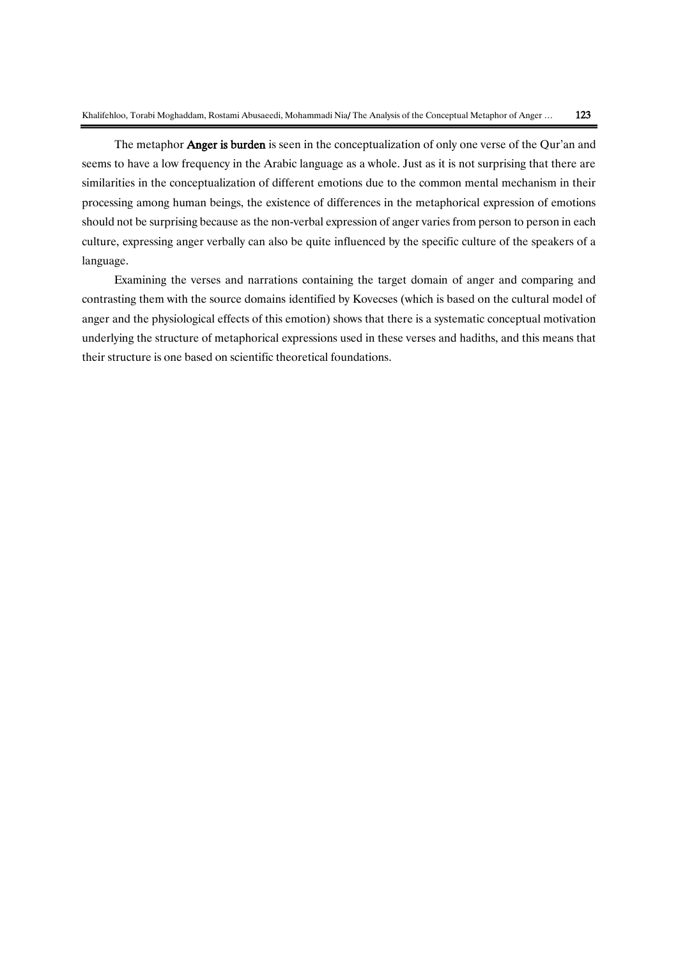The metaphor **Anger is burden** is seen in the conceptualization of only one verse of the Our'an and seems to have a low frequency in the Arabic language as a whole. Just as it is not surprising that there are similarities in the conceptualization of different emotions due to the common mental mechanism in their processing among human beings, the existence of differences in the metaphorical expression of emotions should not be surprising because as the non-verbal expression of anger varies from person to person in each culture, expressing anger verbally can also be quite influenced by the specific culture of the speakers of a language.

Examining the verses and narrations containing the target domain of anger and comparing and contrasting them with the source domains identified by Kovecses (which is based on the cultural model of anger and the physiological effects of this emotion) shows that there is a systematic conceptual motivation underlying the structure of metaphorical expressions used in these verses and hadiths, and this means that their structure is one based on scientific theoretical foundations.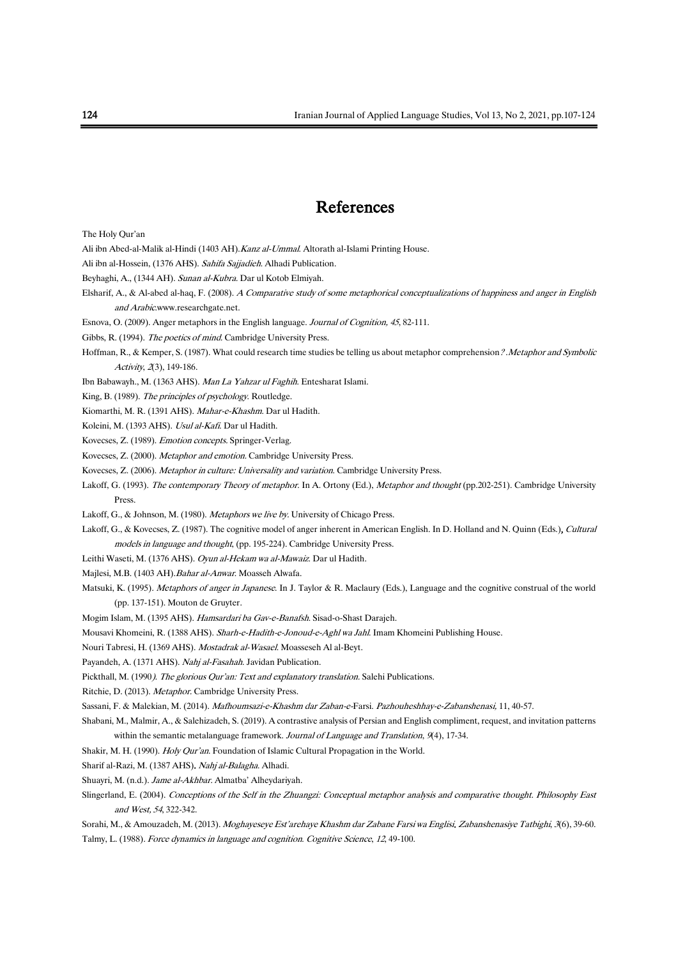### References

The Holy Qur'an

- Ali ibn Abed-al-Malik al-Hindi (1403 AH).Kanz al-Ummal. Altorath al-Islami Printing House.
- Ali ibn al-Hossein, (1376 AHS). Sahifa Sajjadieh. Alhadi Publication.
- Beyhaghi, A., (1344 AH). Sunan al-Kubra. Dar ul Kotob Elmiyah.
- Elsharif, A., & Al-abed al-haq, F. (2008). <sup>A</sup> Comparative study of some metaphorical conceptualizations of happiness and anger in English and Arabic.www.researchgate.net.
- Esnova, O. (2009). Anger metaphors in the English language. Journal of Cognition, 45, 82-111.
- Gibbs, R. (1994). The poetics of mind. Cambridge University Press.
- Hoffman, R., & Kemper, S. (1987). What could research time studies be telling us about metaphor comprehension? .Metaphor and Symbolic Activity, 2(3), 149-186.
- Ibn Babawayh., M. (1363 AHS). Man La Yahzar ul Faghih. Entesharat Islami.
- King, B. (1989). The principles of psychology. Routledge.
- Kiomarthi, M. R. (1391 AHS). Mahar-e-Khashm. Dar ul Hadith.
- Koleini, M. (1393 AHS). Usul al-Kafi. Dar ul Hadith.
- Kovecses, Z. (1989). Emotion concepts. Springer-Verlag.
- Kovecses, Z. (2000). Metaphor and emotion. Cambridge University Press.
- Kovecses, Z. (2006). Metaphor in culture: Universality and variation. Cambridge University Press.
- Lakoff, G. (1993). The contemporary Theory of metaphor. In A. Ortony (Ed.), Metaphor and thought (pp.202-251). Cambridge University Press.
- Lakoff, G., & Johnson, M. (1980). Metaphors we live by. University of Chicago Press.
- Lakoff, G., & Kovecses, Z. (1987). The cognitive model of anger inherent in American English. In D. Holland and N. Quinn (Eds.), Cultural models in language and thought, (pp. 195-224). Cambridge University Press.
- Leithi Waseti, M. (1376 AHS). Oyun al-Hekam wa al-Mawaiz. Dar ul Hadith.
- Majlesi, M.B. (1403 AH).Bahar al-Anwar. Moasseh Alwafa.
- Matsuki, K. (1995). Metaphors of anger in Japanese. In J. Taylor & R. Maclaury (Eds.), Language and the cognitive construal of the world (pp. 137-151). Mouton de Gruyter.
- Mogim Islam, M. (1395 AHS). Hamsardari ba Gav-e-Banafsh. Sisad-o-Shast Darajeh.
- Mousavi Khomeini, R. (1388 AHS). Sharh-e-Hadith-e-Jonoud-e-Aghl wa Jahl. Imam Khomeini Publishing House.
- Nouri Tabresi, H. (1369 AHS). Mostadrak al-Wasael. Moasseseh Al al-Beyt.
- Payandeh, A. (1371 AHS). Nahj al-Fasahah. Javidan Publication.
- Pickthall, M. (1990). The glorious Qur'an: Text and explanatory translation. Salehi Publications.
- Ritchie, D. (2013). Metaphor. Cambridge University Press.
- Sassani, F. & Malekian, M. (2014). Mafhoumsazi-e-Khashm dar Zaban-e-Farsi. Pazhouheshhay-e-Zabanshenasi, 11, 40-57.
- Shabani, M., Malmir, A., & Salehizadeh, S. (2019). A contrastive analysis of Persian and English compliment, request, and invitation patterns within the semantic metalanguage framework. Journal of Language and Translation, 9(4), 17-34.
- Shakir, M. H. (1990). Holy Qur'an. Foundation of Islamic Cultural Propagation in the World.
- Sharif al-Razi, M. (1387 AHS). Nahj al-Balagha. Alhadi.
- Shuayri, M. (n.d.). Jame al-Akhbar. Almatba' Alheydariyah.
- Slingerland, E. (2004). Conceptions of the Self in the Zhuangzi: Conceptual metaphor analysis and comparative thought. Philosophy East and West, <sup>54</sup>, 322-342.
- Sorahi, M., & Amouzadeh, M. (2013). Moghayeseye Est'arehaye Khashm dar Zabane Farsi wa Englisi, Zabanshenasiye Tatbighi, 3(6), 39-60. Talmy, L. (1988). Force dynamics in language and cognition. Cognitive Science, 12, 49-100.